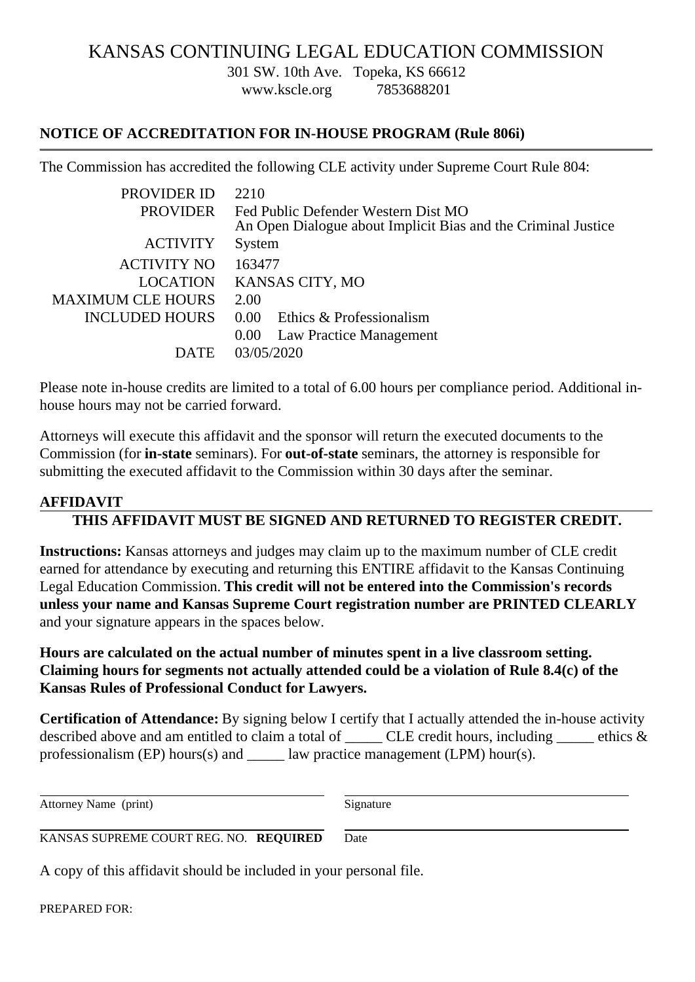## KANSAS CONTINUING LEGAL EDUCATION COMMISSION

301 SW. 10th Ave. Topeka, KS 66612

[www.kscle.org](https://www.kscle.org) 7853688201

## NOTICE OF ACCREDITATION FOR IN-HOUSE PROGRAM (Rule 806i)

The Commission has accredited the following CLE activity under Supreme Court Rule 804:

| <b>PROVIDER ID</b> | 2210                                                                                                 |
|--------------------|------------------------------------------------------------------------------------------------------|
| <b>PROVIDER</b>    | Fed Public Defender Western Dist MO<br>An Open Dialogue about Implicit Bias and the Criminal Justice |
| <b>ACTIVITY</b>    | <b>System</b>                                                                                        |
| <b>ACTIVITY NO</b> | 163477                                                                                               |
| LOCATION           | <b>KANSAS CITY, MO</b>                                                                               |
| MAXIMUM CLE HOURS  | 2.00                                                                                                 |
|                    | INCLUDED HOURS 0.00 Ethics & Professionalism                                                         |
|                    | 0.00 Law Practice Management                                                                         |
| <b>DATE</b>        | 03/05/2020                                                                                           |

Please note in-house credits are limited to a total of 6.00 hours per compliance period. Additional inhouse hours may not be carried forward.

Attorneys will execute this affidavit and the sponsor will return the executed documents to the Commission (forn-state seminars). For ut-of-state seminars, the attorney is responsible for submitting the executed affidavit to the Commission within 30 days after the seminar.

## AFFIDAVIT

THIS AFFIDAVIT MUST BE SIGNED AND RETURNED TO REGISTER CREDIT.

Instructions: Kansas attorneys and judges may claim up to the maximum number of CLE credit earned for attendance by executing and returning this ENTIRE affidavit to the Kansas Continuing Legal Education Commissionhis credit will not be entered into the Commission's records unless your name and Kansas Supreme Court registration number are PRINTED CLEARLY and your signature appears in the spaces below.

Hours are calculated on the actual number of minutes spent in a live classroom setting. Claiming hours for segments not actually attended could be a violation of Rule 8.4(c) of the Kansas Rules of Professional Conduct for Lawyers.

Certification of Attendance: By signing below I certify that I actually attended the in-house activity described above and am entitled to claim a total of \_\_\_\_\_\_ CLE credit hours, including \_\_\_\_\_\_ ethics professionalism (EP) hours(s) and \_\_\_\_\_ law practice management (LPM) hour(s).

Attorney Name (print) Signature

KANSAS SUPREME COURT REG. NOREQUIRED Date

A copy of this affidavit should be included in your personal file.

PREPARED FOR: